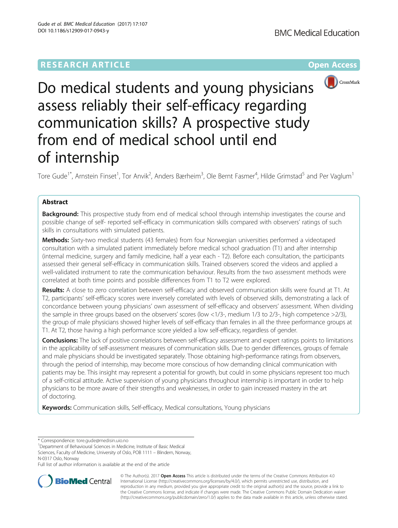# **RESEARCH ARTICLE Example 2014 The Contract of Contract Contract Contract Contract Contract Contract Contract Contract Contract Contract Contract Contract Contract Contract Contract Contract Contract Contract Contract Co**



Do medical students and young physicians assess reliably their self-efficacy regarding communication skills? A prospective study from end of medical school until end of internship

Tore Gude<sup>1\*</sup>, Arnstein Finset<sup>1</sup>, Tor Anvik<sup>2</sup>, Anders Bærheim<sup>3</sup>, Ole Bernt Fasmer<sup>4</sup>, Hilde Grimstad<sup>5</sup> and Per Vaglum<sup>1</sup>

# Abstract

Background: This prospective study from end of medical school through internship investigates the course and possible change of self- reported self-efficacy in communication skills compared with observers' ratings of such skills in consultations with simulated patients.

Methods: Sixty-two medical students (43 females) from four Norwegian universities performed a videotaped consultation with a simulated patient immediately before medical school graduation (T1) and after internship (internal medicine, surgery and family medicine, half a year each - T2). Before each consultation, the participants assessed their general self-efficacy in communication skills. Trained observers scored the videos and applied a well-validated instrument to rate the communication behaviour. Results from the two assessment methods were correlated at both time points and possible differences from T1 to T2 were explored.

Results: A close to zero correlation between self-efficacy and observed communication skills were found at T1. At T2, participants' self-efficacy scores were inversely correlated with levels of observed skills, demonstrating a lack of concordance between young physicians' own assessment of self-efficacy and observers' assessment. When dividing the sample in three groups based on the observers' scores (low <1/3-, medium 1/3 to 2/3-, high competence >2/3), the group of male physicians showed higher levels of self-efficacy than females in all the three performance groups at T1. At T2, those having a high performance score yielded a low self-efficacy, regardless of gender.

Conclusions: The lack of positive correlations between self-efficacy assessment and expert ratings points to limitations in the applicability of self-assessment measures of communication skills. Due to gender differences, groups of female and male physicians should be investigated separately. Those obtaining high-performance ratings from observers, through the period of internship, may become more conscious of how demanding clinical communication with patients may be. This insight may represent a potential for growth, but could in some physicians represent too much of a self-critical attitude. Active supervision of young physicians throughout internship is important in order to help physicians to be more aware of their strengths and weaknesses, in order to gain increased mastery in the art of doctoring.

Keywords: Communication skills, Self-efficacy, Medical consultations, Young physicians

<sup>1</sup>Department of Behavioural Sciences in Medicine, Institute of Basic Medical Sciences, Faculty of Medicine, University of Oslo, POB 1111 – Blindern, Norway, N-0317 Oslo, Norway

Full list of author information is available at the end of the article



© The Author(s). 2017 **Open Access** This article is distributed under the terms of the Creative Commons Attribution 4.0 International License [\(http://creativecommons.org/licenses/by/4.0/](http://creativecommons.org/licenses/by/4.0/)), which permits unrestricted use, distribution, and reproduction in any medium, provided you give appropriate credit to the original author(s) and the source, provide a link to the Creative Commons license, and indicate if changes were made. The Creative Commons Public Domain Dedication waiver [\(http://creativecommons.org/publicdomain/zero/1.0/](http://creativecommons.org/publicdomain/zero/1.0/)) applies to the data made available in this article, unless otherwise stated.

<sup>\*</sup> Correspondence: [tore.gude@medisin.uio.no](mailto:tore.gude@medisin.uio.no) <sup>1</sup>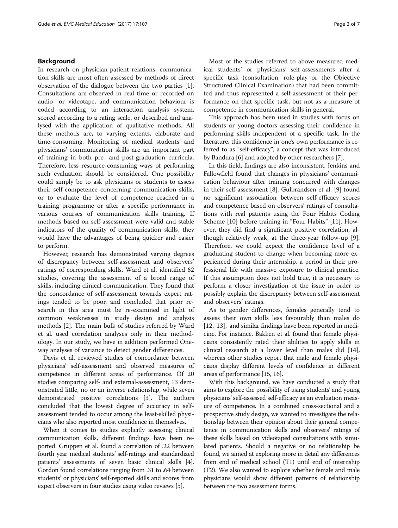## <span id="page-1-0"></span>Background

In research on physician-patient relations, communication skills are most often assessed by methods of direct observation of the dialogue between the two parties [\[1](#page-6-0)]. Consultations are observed in real time or recorded on audio- or videotape, and communication behaviour is coded according to an interaction analysis system, scored according to a rating scale, or described and analysed with the application of qualitative methods. All these methods are, to varying extents, elaborate and time-consuming. Monitoring of medical students' and physicians' communication skills are an important part of training in both pre- and post-graduation curricula. Therefore, less resource-consuming ways of performing such evaluation should be considered. One possibility could simply be to ask physicians or students to assess their self-competence concerning communication skills, or to evaluate the level of competence reached in a training programme or after a specific performance in various courses of communication skills training. If methods based on self-assessment were valid and stable indicators of the quality of communication skills, they would have the advantages of being quicker and easier to perform.

However, research has demonstrated varying degrees of discrepancy between self-assessment and observers' ratings of corresponding skills. Ward et al. identified 62 studies, covering the assessment of a broad range of skills, including clinical communication. They found that the concordance of self-assessment towards expert ratings tended to be poor, and concluded that prior research in this area must be re-examined in light of common weaknesses in study design and analysis methods [\[2](#page-6-0)]. The main bulk of studies referred by Ward et al. used correlation analyses only in their methodology. In our study, we have in addition performed Oneway analyses of variance to detect gender differences.

Davis et al. reviewed studies of concordance between physicians' self-assessment and observed measures of competence in different areas of performance. Of 20 studies comparing self- and external-assessment, 13 demonstrated little, no or an inverse relationship, while seven demonstrated positive correlations [[3\]](#page-6-0). The authors concluded that the lowest degree of accuracy in selfassessment tended to occur among the least-skilled physicians who also reported most confidence in themselves.

When it comes to studies explicitly assessing clinical communication skills, different findings have been reported. Gruppen et al. found a correlation of .22 between fourth year medical students' self-ratings and standardized patients' assessments of seven basic clinical skills [[4](#page-6-0)]. Gordon found correlations ranging from .31 to .64 between students' or physicians' self-reported skills and scores from expert observers in four studies using video reviews [[5](#page-6-0)].

Most of the studies referred to above measured medical students' or physicians' self-assessments after a specific task (consultation, role-play or the Objective Structured Clinical Examination) that had been committed and thus represented a self-assessment of their performance on that specific task, but not as a measure of competence in communication skills in general.

This approach has been used in studies with focus on students or young doctors assessing their confidence in performing skills independent of a specific task. In the literature, this confidence in one's own performance is referred to as "self-efficacy", a concept that was introduced by Bandura [\[6](#page-6-0)] and adopted by other researchers [\[7](#page-6-0)].

In this field, findings are also inconsistent. Jenkins and Fallowfield found that changes in physicians' communication behaviour after training concurred with changes in their self-assessment [\[8](#page-6-0)]. Gulbrandsen et al. [\[9](#page-6-0)] found no significant association between self-efficacy scores and competence based on observers' ratings of consultations with real patients using the Four Habits Coding Scheme [[10\]](#page-6-0) before training in "Four Habits" [\[11\]](#page-6-0). However, they did find a significant positive correlation, although relatively weak, at the three-year follow-up [\[9](#page-6-0)]. Therefore, we could expect the confidence level of a graduating student to change when becoming more experienced during their internship, a period in their professional life with massive exposure to clinical practice. If this assumption does not hold true, it is necessary to perform a closer investigation of the issue in order to possibly explain the discrepancy between self-assessment and observers' ratings.

As to gender differences, females generally tend to assess their own skills less favourably than males do [[12, 13](#page-6-0)], and similar findings have been reported in medicine. For instance, Bakken et al. found that female physicians consistently rated their abilities to apply skills in clinical research at a lower level than males did [[14](#page-6-0)], whereas other studies report that male and female physicians display different levels of confidence in different areas of performance [[15](#page-6-0), [16\]](#page-6-0).

With this background, we have conducted a study that aims to explore the possibility of using students' and young physicians' self-assessed self-efficacy as an evaluation measure of competence. In a combined cross-sectional and a prospective study design, we wanted to investigate the relationship between their opinion about their general competence in communication skills and observers' ratings of these skills based on videotaped consultations with simulated patients. Should a negative or no relationship be found, we aimed at exploring more in detail any differences from end of medical school (T1) until end of internship (T2). We also wanted to explore whether female and male physicians would show different patterns of relationship between the two assessment forms.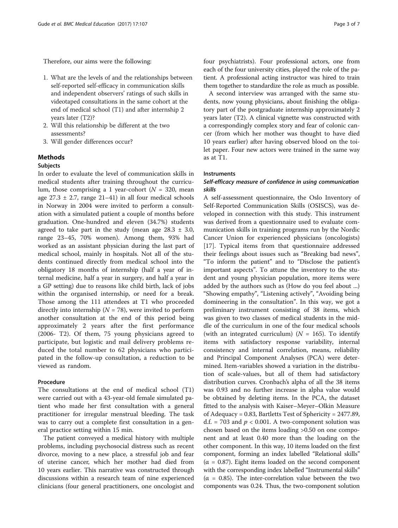Therefore, our aims were the following:

- 1. What are the levels of and the relationships between self-reported self-efficacy in communication skills and independent observers' ratings of such skills in videotaped consultations in the same cohort at the end of medical school (T1) and after internship 2 years later (T2)?
- 2. Will this relationship be different at the two assessments?
- 3. Will gender differences occur?

# Methods

# **Subjects**

In order to evaluate the level of communication skills in medical students after training throughout the curriculum, those comprising a 1 year-cohort ( $N = 320$ , mean age  $27.3 \pm 2.7$ , range  $21-41$ ) in all four medical schools in Norway in 2004 were invited to perform a consultation with a simulated patient a couple of months before graduation. One-hundred and eleven (34.7%) students agreed to take part in the study (mean age  $28.3 \pm 3.0$ , range 23–45, 70% women). Among them, 93% had worked as an assistant physician during the last part of medical school, mainly in hospitals. Not all of the students continued directly from medical school into the obligatory 18 months of internship (half a year of internal medicine, half a year in surgery, and half a year in a GP setting) due to reasons like child birth, lack of jobs within the organised internship, or need for a break. Those among the 111 attendees at T1 who proceeded directly into internship ( $N = 78$ ), were invited to perform another consultation at the end of this period being approximately 2 years after the first performance (2006- T2). Of them, 75 young physicians agreed to participate, but logistic and mail delivery problems reduced the total number to 62 physicians who participated in the follow-up consultation, a reduction to be viewed as random.

# Procedure

The consultations at the end of medical school (T1) were carried out with a 43-year-old female simulated patient who made her first consultation with a general practitioner for irregular menstrual bleeding. The task was to carry out a complete first consultation in a general practice setting within 15 min.

The patient conveyed a medical history with multiple problems, including psychosocial distress such as recent divorce, moving to a new place, a stressful job and fear of uterine cancer, which her mother had died from 10 years earlier. This narrative was constructed through discussions within a research team of nine experienced clinicians (four general practitioners, one oncologist and four psychiatrists). Four professional actors, one from each of the four university cities, played the role of the patient. A professional acting instructor was hired to train them together to standardize the role as much as possible.

A second interview was arranged with the same students, now young physicians, about finishing the obligatory part of the postgraduate internship approximately 2 years later (T2). A clinical vignette was constructed with a correspondingly complex story and fear of colonic cancer (from which her mother was thought to have died 10 years earlier) after having observed blood on the toilet paper. Four new actors were trained in the same way as at T1.

# Instruments

# Self-efficacy measure of confidence in using communication skills

A self-assessment questionnaire, the Oslo Inventory of Self-Reported Communication Skills (OSISCS), was developed in connection with this study. This instrument was derived from a questionnaire used to evaluate communication skills in training programs run by the Nordic Cancer Union for experienced physicians (oncologists) [[17\]](#page-6-0). Typical items from that questionnaire addressed their feelings about issues such as "Breaking bad news", "To inform the patient" and to "Disclose the patient's important aspects". To attune the inventory to the student and young physician population, more items were added by the authors such as (How do you feel about ...) "Showing empathy", "Listening actively", "Avoiding being domineering in the consultation". In this way, we got a preliminary instrument consisting of 38 items, which was given to two classes of medical students in the middle of the curriculum in one of the four medical schools (with an integrated curriculum) ( $N = 165$ ). To identify items with satisfactory response variability, internal consistency and internal correlation, means, reliability and Principal Component Analyses (PCA) were determined. Item-variables showed a variation in the distribution of scale-values, but all of them had satisfactory distribution curves. Cronbach's alpha of all the 38 items was 0.93 and no further increase in alpha value would be obtained by deleting items. In the PCA, the dataset fitted to the analysis with Kaiser–Meyer–Olkin Measure of Adequacy = 0.83, Bartletts Test of Sphericity = 2477.89, d.f. = 703 and  $p < 0.001$ . A two-component solution was chosen based on the items loading >0.50 on one component and at least 0.40 more than the loading on the other component. In this way, 10 items loaded on the first component, forming an index labelled "Relational skills" (α = 0.87). Eight items loaded on the second component with the corresponding index labelled "Instrumental skills" (α = 0.85). The inter-correlation value between the two components was 0.24. Thus, the two-component solution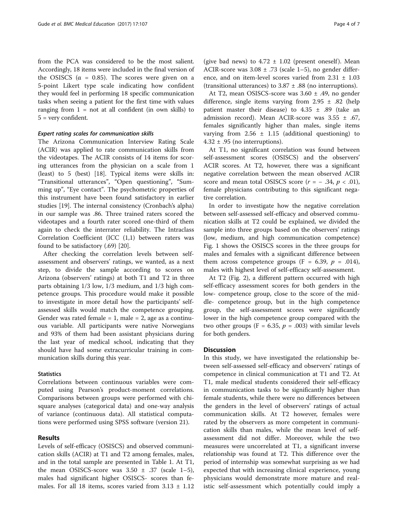from the PCA was considered to be the most salient. Accordingly, 18 items were included in the final version of the OSISCS ( $\alpha$  = 0.85). The scores were given on a 5-point Likert type scale indicating how confident they would feel in performing 18 specific communication tasks when seeing a patient for the first time with values ranging from  $1 = not$  at all confident (in own skills) to 5 = very confident.

## Expert rating scales for communication skills

The Arizona Communication Interview Rating Scale (ACIR) was applied to rate communication skills from the videotapes. The ACIR consists of 14 items for scoring utterances from the physician on a scale from 1 (least) to 5 (best) [\[18](#page-6-0)]. Typical items were skills in: "Transitional utterances", "Open questioning", "Summing up", "Eye contact". The psychometric properties of this instrument have been found satisfactory in earlier studies [\[19](#page-6-0)]. The internal consistency (Cronbach's alpha) in our sample was .86. Three trained raters scored the videotapes and a fourth rater scored one-third of them again to check the interrater reliability. The Intraclass Correlation Coefficient (ICC (1,1) between raters was found to be satisfactory (.69) [\[20](#page-6-0)].

After checking the correlation levels between selfassessment and observers' ratings, we wanted, as a next step, to divide the sample according to scores on Arizona (observers' ratings) at both T1 and T2 in three parts obtaining 1/3 low, 1/3 medium, and 1/3 high competence groups. This procedure would make it possible to investigate in more detail how the participants' selfassessed skills would match the competence grouping. Gender was rated female  $= 1$ , male  $= 2$ , age as a continuous variable. All participants were native Norwegians and 93% of them had been assistant physicians during the last year of medical school, indicating that they should have had some extracurricular training in communication skills during this year.

#### **Statistics**

Correlations between continuous variables were computed using Pearson's product-moment correlations. Comparisons between groups were performed with chisquare analyses (categorical data) and one-way analysis of variance (continuous data). All statistical computations were performed using SPSS software (version 21).

## Results

Levels of self-efficacy (OSISCS) and observed communication skills (ACIR) at T1 and T2 among females, males, and in the total sample are presented in Table [1.](#page-4-0) At T1, the mean OSISCS-score was  $3.50 \pm .37$  (scale 1-5), males had significant higher OSISCS- scores than females. For all 18 items, scores varied from  $3.13 \pm 1.12$  (give bad news) to  $4.72 \pm 1.02$  (present oneself). Mean ACIR-score was  $3.08 \pm .73$  (scale 1–5), no gender difference, and on item-level scores varied from 2.31 ± 1.03 (transitional utterances) to  $3.87 \pm .88$  (no interruptions).

At T2, mean OSISCS-score was 3.60 ± .49, no gender difference, single items varying from  $2.95 \pm .82$  (help patient master their disease) to  $4.35 \pm .89$  (take an admission record). Mean ACIR-score was  $3.55 \pm .67$ , females significantly higher than males, single items varying from  $2.56 \pm 1.15$  (additional questioning) to  $4.32 \pm .95$  (no interruptions).

At T1, no significant correlation was found between self-assessment scores (OSISCS) and the observers' ACIR scores. At T2, however, there was a significant negative correlation between the mean observed ACIR score and mean total OSISCS score  $(r = -0.34, p < 0.01)$ , female physicians contributing to this significant negative correlation.

In order to investigate how the negative correlation between self-assessed self-efficacy and observed communication skills at T2 could be explained, we divided the sample into three groups based on the observers' ratings (low, medium, and high communication competence) Fig. [1](#page-4-0) shows the OSISCS scores in the three groups for males and females with a significant difference between them across competence groups (F = 6.39,  $p = .014$ ), males with highest level of self-efficacy self-assessment.

At T2 (Fig. [2\)](#page-4-0), a different pattern occurred with high self-efficacy assessment scores for both genders in the low- competence group, close to the score of the middle- competence group, but in the high competence group, the self-assessment scores were significantly lower in the high competence group compared with the two other groups (F = 6.35,  $p = .003$ ) with similar levels for both genders.

## **Discussion**

In this study, we have investigated the relationship between self-assessed self-efficacy and observers' ratings of competence in clinical communication at T1 and T2. At T1, male medical students considered their self-efficacy in communication tasks to be significantly higher than female students, while there were no differences between the genders in the level of observers' ratings of actual communication skills. At T2 however, females were rated by the observers as more competent in communication skills than males, while the mean level of selfassessment did not differ. Moreover, while the two measures were uncorrelated at T1, a significant inverse relationship was found at T2. This difference over the period of internship was somewhat surprising as we had expected that with increasing clinical experience, young physicians would demonstrate more mature and realistic self-assessment which potentially could imply a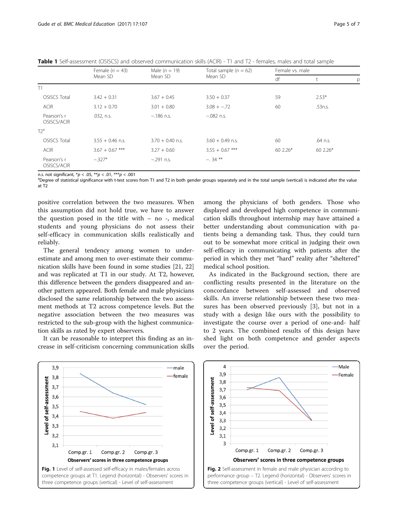<span id="page-4-0"></span>

|  | Table 1 Self-assessment (OSISCS) and observed communication skills (ACIR) - T1 and T2 - females, males and total sample |  |  |  |  |  |  |  |  |  |  |
|--|-------------------------------------------------------------------------------------------------------------------------|--|--|--|--|--|--|--|--|--|--|
|--|-------------------------------------------------------------------------------------------------------------------------|--|--|--|--|--|--|--|--|--|--|

|                            | Female $(n = 43)$  | Male $(n = 19)$    | Total sample $(n = 62)$ | Female vs. male |          |   |  |
|----------------------------|--------------------|--------------------|-------------------------|-----------------|----------|---|--|
|                            | Mean SD            | Mean SD            | Mean SD                 | df              |          | р |  |
| T1                         |                    |                    |                         |                 |          |   |  |
| <b>OSISCS Total</b>        | $3.42 + 0.31$      | $3.67 + 0.45$      | $3.50 + 0.37$           | 59              | $2.53*$  |   |  |
| <b>ACIR</b>                | $3.12 + 0.70$      | $3.01 + 0.80$      | $3.08 + -0.72$          | 60              | .53n.s.  |   |  |
| Pearson's r<br>OSISCS/ACIR | .032, n.s.         | $-.186$ n.s.       | $-.082$ n.s.            |                 |          |   |  |
| $T2^a$                     |                    |                    |                         |                 |          |   |  |
| <b>OSISCS Total</b>        | $3.55 + 0.46$ n.s. | $3.70 + 0.40$ n.s. | $3.60 + 0.49$ n.s.      | 60              | .64 n.s. |   |  |
| <b>ACIR</b>                | $3.67 + 0.67$ ***  | $3.27 + 0.60$      | $3.55 + 0.67$ ***       | 60 2.26*        | 60 2.26* |   |  |
| Pearson's r<br>OSISCS/ACIR | $-.327*$           | $-.291$ n.s.       | $-34$ **                |                 |          |   |  |

n.s. not significant,  ${}^*p$  < .05,  ${}^{**}p$  < .01,  ${}^{***}p$  < .001

<sup>a</sup>Degree of statistical significance with t-test scores from T1 and T2 in both gender groups separately and in the total sample (vertical) is indicated after the value at T2

positive correlation between the two measures. When this assumption did not hold true, we have to answer the question posed in the title with  $-$  no  $-$ , medical students and young physicians do not assess their self-efficacy in communication skills realistically and reliably.

The general tendency among women to underestimate and among men to over-estimate their communication skills have been found in some studies [[21, 22](#page-6-0)] and was replicated at T1 in our study. At T2, however, this difference between the genders disappeared and another pattern appeared. Both female and male physicians disclosed the same relationship between the two assessment methods at T2 across competence levels. But the negative association between the two measures was restricted to the sub-group with the highest communication skills as rated by expert observers.

It can be reasonable to interpret this finding as an increase in self-criticism concerning communication skills among the physicians of both genders. Those who displayed and developed high competence in communication skills throughout internship may have attained a better understanding about communication with patients being a demanding task. Thus, they could turn out to be somewhat more critical in judging their own self-efficacy in communicating with patients after the period in which they met "hard" reality after "sheltered" medical school position.

As indicated in the [Background](#page-1-0) section, there are conflicting results presented in the literature on the concordance between self-assessed and observed skills. An inverse relationship between these two measures has been observed previously [[3\]](#page-6-0), but not in a study with a design like ours with the possibility to investigate the course over a period of one-and- half to 2 years. The combined results of this design have shed light on both competence and gender aspects over the period.



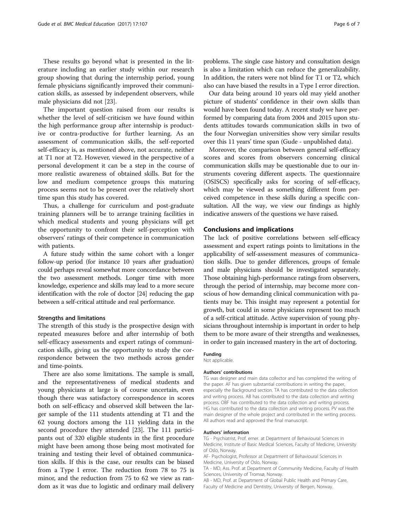These results go beyond what is presented in the literature including an earlier study within our research group showing that during the internship period, young female physicians significantly improved their communication skills, as assessed by independent observers, while male physicians did not [[23\]](#page-6-0).

The important question raised from our results is whether the level of self-criticism we have found within the high performance group after internship is productive or contra-productive for further learning. As an assessment of communication skills, the self-reported self-efficacy is, as mentioned above, not accurate, neither at T1 nor at T2. However, viewed in the perspective of a personal development it can be a step in the course of more realistic awareness of obtained skills. But for the low and medium competence groups this maturing process seems not to be present over the relatively short time span this study has covered.

Thus, a challenge for curriculum and post-graduate training planners will be to arrange training facilities in which medical students and young physicians will get the opportunity to confront their self-perception with observers' ratings of their competence in communication with patients.

A future study within the same cohort with a longer follow-up period (for instance 10 years after graduation) could perhaps reveal somewhat more concordance between the two assessment methods. Longer time with more knowledge, experience and skills may lead to a more secure identification with the role of doctor [\[24](#page-6-0)] reducing the gap between a self-critical attitude and real performance.

#### Strengths and limitations

The strength of this study is the prospective design with repeated measures before and after internship of both self-efficacy assessments and expert ratings of communication skills, giving us the opportunity to study the correspondence between the two methods across gender and time-points.

There are also some limitations. The sample is small, and the representativeness of medical students and young physicians at large is of course uncertain, even though there was satisfactory correspondence in scores both on self-efficacy and observed skill between the larger sample of the 111 students attending at T1 and the 62 young doctors among the 111 yielding data in the second procedure they attended [[23\]](#page-6-0). The 111 participants out of 320 eligible students in the first procedure might have been among those being most motivated for training and testing their level of obtained communication skills. If this is the case, our results can be biased from a Type I error. The reduction from 78 to 75 is minor, and the reduction from 75 to 62 we view as random as it was due to logistic and ordinary mail delivery

problems. The single case history and consultation design is also a limitation which can reduce the generalizability. In addition, the raters were not blind for T1 or T2, which also can have biased the results in a Type I error direction.

Our data being around 10 years old may yield another picture of students' confidence in their own skills than would have been found today. A recent study we have performed by comparing data from 2004 and 2015 upon students attitudes towards communication skills in two of the four Norwegian universities show very similar results over this 11 years' time span (Gude - unpublished data).

Moreover, the comparison between general self-efficacy scores and scores from observers concerning clinical communication skills may be questionable due to our instruments covering different aspects. The questionnaire (OSISCS) specifically asks for scoring of self-efficacy, which may be viewed as something different from perceived competence in these skills during a specific consultation. All the way, we view our findings as highly indicative answers of the questions we have raised.

## Conclusions and implications

The lack of positive correlations between self-efficacy assessment and expert ratings points to limitations in the applicability of self-assessment measures of communication skills. Due to gender differences, groups of female and male physicians should be investigated separately. Those obtaining high-performance ratings from observers, through the period of internship, may become more conscious of how demanding clinical communication with patients may be. This insight may represent a potential for growth, but could in some physicians represent too much of a self-critical attitude. Active supervision of young physicians throughout internship is important in order to help them to be more aware of their strengths and weaknesses, in order to gain increased mastery in the art of doctoring.

#### Funding

Not applicable.

#### Authors' contributions

TG was designer and main data collector and has completed the writing of the paper. AF has given substantial contributions in writing the paper, especially the Background section. TA has contributed to the data collection and writing process. AB has contributed to the data collection and writing process. OBF has contributed to the data collection and writing process. HG has contributed to the data collection and writing process. PV was the main designer of the whole project and contributed in the writing process. All authors read and approved the final manuscript.

#### Authors' information

TG - Psychiatrist, Prof. emer. at Department of Behavioural Sciences in Medicine, Institute of Basic Medical Sciences, Faculty of Medicine, University of Oslo, Norway.

AF- Psychologist, Professor at Department of Behavioural Sciences in Medicine, University of Oslo, Norway.

TA - MD, Ass. Prof. at Department of Community Medicine, Faculty of Health Sciences, University of Tromsø, Norway.

AB - MD, Prof. at Department of Global Public Health and Primary Care, Faculty of Medicine and Dentistry, University of Bergen, Norway.